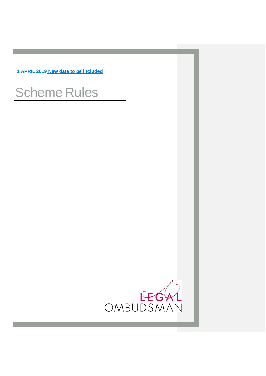**1 APRIL 2019 New date to be included**

 $\overline{\phantom{a}}$ 

# Scheme Rules

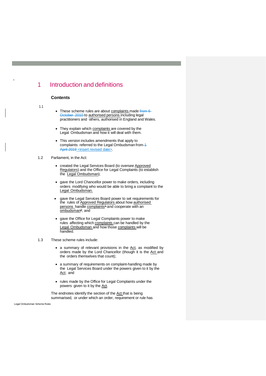# 1 Introduction and definitions

# **Contents**

#### 1.1

1

- These scheme rules are about complaints made from 6 October 2010 to authorised persons including legal practitioners and others, authorised in England and Wales.
- They explain which complaints are covered by the Legal Ombudsman and how it will deal with them.
- This version includes amendments that apply to complaints referred to the Legal Ombudsman from-April 2019 <insert revised date>
- 1.2 Parliament, in the Act:
	- created the Legal Services Board (to oversee Approved Regulators) and the Office for Legal Complaints (to establish the Legal Ombudsman);
	- gave the Lord Chancellor power to make orders, including orders modifying who would be able to bring a complaint to the Legal Ombudsman.
	- gave the Legal Services Board power to set requirements for the rules of Approved Regulators about how authorised per[s](#page-32-0)ons handle complaints<sup>1</sup> and cooperate with an ombudsma[n](#page-32-1)<sup>2</sup>; and
	- gave the Office for Legal Complaints power to make rules affecting which complaints can be handled by the Legal Ombudsman and how those complaints will be handled.
- 1.3 These scheme rules include:
	- a summary of relevant provisions in the Act, as modified by orders made by the Lord Chancellor (though it is the Act and the orders themselves that count);
	- a summary of requirements on complaint-handling made by the Legal Services Board under the powers given to it by the Act; and
	- rules made by the Office for Legal Complaints under the powers given to it by the Act.

The endnotes identify the section of the Act that is being summarised, or under which an order, requirement or rule has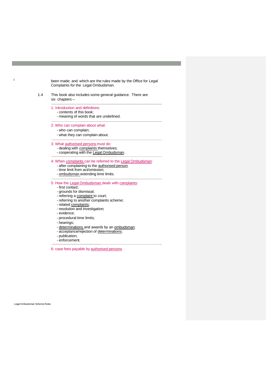been made; and which are the rules made by the Office for Legal Complaints for the Legal Ombudsman.

- 1.4 This book also includes some general guidance. There are six chapters –
	- 1: Introduction and definitions:
		- contents of this book;
		- meaning of words that are underlined.
	- 2: Who can complain about what:
		- who can complain;
		- what they can complain about.

#### 3: What authorised persons must do:

- dealing with complaints themselves;
- cooperating with the Legal Ombudsman.

4: When complaints can be referred to the Legal Ombudsman:

- after complaining to the authorised person;
- time limit from act/omission;
- ombudsman extending time limits.

#### 5: How the Legal Ombudsman deals with complaints:

- first contact;
- grounds for dismissal;
- referring a complaint to court;
- referring to another complaints scheme;
- related complaints;
- resolution and investigation;
- evidence;
- procedural time limits;
- hearings;
- determinations and awards by an ombudsman;
- acceptance/rejection of determinations;
- publication;
- enforcement.

6: case fees payable by authorised persons.

Legal Ombudsman Scheme Rules

 $\mathcal{L}$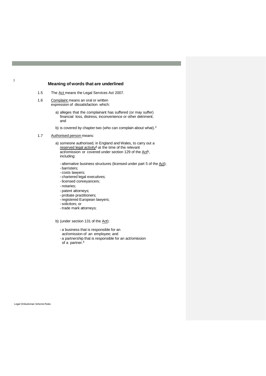# **Meaning of words that are underlined**

- 1.5 The Act means the Legal Services Act 2007.
- 1.6 Complaint means an oral or written expression of dissatisfaction which:
	- a) alleges that the complainant has suffered (or may suffer) financial loss, distress, inconvenience or other detriment; and
	- b) is covered by chapter two (who can complain about what[\).](#page-33-0)<sup>3</sup>
- 1.7 Authorised person means:
	- a) someone authorised, in England and Wales, to carry out a reserved legal  $\arctan x$ <sup>4</sup> at the time of the relevant a[ct](#page-33-2)/omission or covered under section 129 of the Act<sup>5</sup>, including:
		- alternative business structures (licensed under part 5 of the Act);
		- barristers;
		- costs lawyers;
		- chartered legal executives;
		- licensed conveyancers;
		- notaries;
		- patent attorneys;
		- probate practitioners;
		- registered European lawyers;
		- solicitors; or
		- trade mark attorneys;
	- b) (under section 131 of the Act):
		- a business that is responsible for an
		- act/omission of an employee; and
		- a partnership that is responsible for an act/omission of a partner.<sup>[6](#page-33-3)</sup>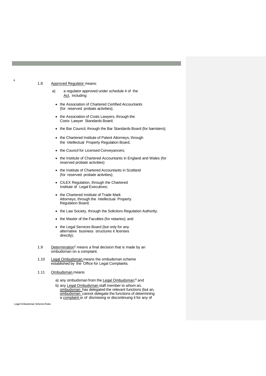#### 1.8 Approved Regulator means:

4

- a) a regulator approved under schedule 4 of the Act, including:
	- the Association of Chartered Certified Accountants (for reserved probate activities);
	- the Association of Costs Lawyers, through the Costs Lawyer Standards Board;
	- the Bar Council, through the Bar Standards Board (for barristers);
	- the Chartered Institute of Patent Attorneys, through the Intellectual Property Regulation Board;
	- the Council for Licensed Conveyancers;
	- the Institute of Chartered Accountants in England and Wales (for reserved probate activities)
	- the Institute of Chartered Accountants in Scotland (for reserved probate activities);
	- CILEX Regulation, through the Chartered Institute of Legal Executives;
	- the Chartered Institute of Trade Mark Attorneys, through the Intellectual Property Regulation Board;
	- the Law Society, through the Solicitors Regulation Authority;
	- the Master of the Faculties (for notaries); and
	- the Legal Services Board (but only for any alternative business structures it licenses directly);
- 1.9 Determination<sup> $7$ </sup> means a final decision that is made by an ombudsman on a complaint.
- 1.10 Legal Ombudsman means the ombudsman scheme established by the Office for Legal Complaints.
- 1.11 Ombudsman means:
	- a) any ombudsman from the Legal Ombudsma[n;](#page-33-5)<sup>8</sup> and
	- b) any Legal Ombudsman staff member to whom an ombudsman has delegated the relevant functions (but an ombudsman cannot delegate the functions of determining a complaint or of dismissing or discontinuing it for any of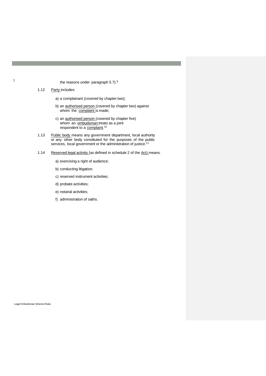- the reasons under paragraph 5.7[\).](#page-34-0)<sup>9</sup>
- 1.12 Party includes:
	- a) a complainant (covered by chapter two);
	- b) an authorised person (covered by chapter two) against whom the complaint is made;
	- c) an **authorised person** (covered by chapter five) whom an **ombudsman** treats as a joint respondent to a complaint.<sup>[10](#page-34-1)</sup>
- 1.13 Public body means any government department, local authority or any other body constituted for the purposes of the public services, local government or the administration of justice.<sup>[11](#page-34-2)</sup>
- 1.14 Reserved legal activity (as defined in schedule 2 of the Act) means:
	- a) exercising a right of audience;
	- b) conducting litigation;
	- c) reserved instrument activities;
	- d) probate activities;
	- e) notarial activities;
	- f) administration of oaths.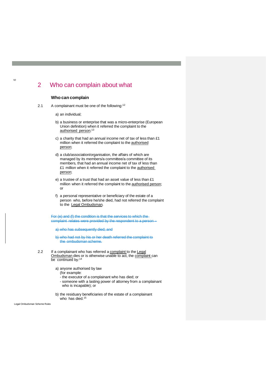# 2 Who can complain about what

# **Who can complain**

2.1 A complainant must be one of the following:<sup>[12](#page-35-0)</sup>

a) an individual;

- b) a business or enterprise that was a micro-enterprise (European Union definition) when it referred the complaint to the authorised person;<sup>[13](#page-35-0)</sup>
- c) a charity that had an annual income net of tax of less than £1 million when it referred the complaint to the authorised person;
- d) a club/association/organisation, the affairs of which are managed by its members/a committee/a committee of its members, that had an annual income net of tax of less than £1 million when it referred the complaint to the authorised person;
- e) a trustee of a trust that had an asset value of less than £1 million when it referred the complaint to the authorised person; or
- f) a personal representative or beneficiary of the estate of a person who, before he/she died, had not referred the complaint to the Legal Ombudsman.

For (e) and (f) the condition is that the services to which the complaint relates were provided by the respondent to a perso

a) who has subsequently died; and

b) who had not by his or her death referred the complaint to the ombudsman scheme.

- 2.2 If a complainant who has referred a complaint to the Legal Ombudsman dies or is otherwise unable to act, the complaint can be continued by:<sup>[14](#page-35-0)</sup>
	- a) anyone authorised by law
		- (for example:
		- the executor of a complainant who has died; or
		- someone with a lasting power of attorney from a complainant who is incapable); or
	- b) the residuary beneficiaries of the estate of a complainant who has died.<sup>[15](#page-35-0)</sup>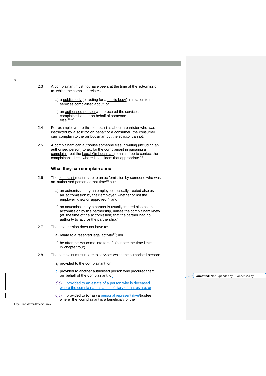- 2.3 A complainant must not have been, at the time of the act/omission to which the complaint relates:
	- a) a public body (or acting for a public body) in relation to the services complained about; or
	- b) an **authorised person** who procured the services complained about on behalf of someone else.[16](#page-35-0) [17](#page-35-0)
- 2.4 For example, where the complaint is about a barrister who was instructed by a solicitor on behalf of a consumer, the consumer can complain to the ombudsman but the solicitor cannot.
- 2.5 A complainant can authorise someone else in writing (including an authorised person) to act for the complainant in pursuing a complaint, but the Legal Ombudsman remains free to contact the complainant direct where it considers that appropriate.<sup>1</sup>

#### **What they can complain about**

- 2.6 The complaint must relate to an act/omission by someone who was an authorised person at that time<sup>[19](#page-35-0)</sup> but:
	- a) an act/omission by an employee is usually treated also as an act/omission by their employer, whether or not the employer knew or approved;<sup>[20](#page-35-0)</sup> and
	- b) an act/omission by a partner is usually treated also as an act/omission by the partnership, unless the complainant knew (at the time of the act/omission) that the partner had no authority to act for the partnership.[21](#page-35-0)
- 2.7 The act/omission does not have to:
	- a) relate to a reserved legal activity $22$ ; nor
	- b) be after the Act came into force<sup>[23](#page-35-0)</sup> (but see the time limits in chapter four).
- 2.8 The complaint must relate to services which the authorised person:
	- a) provided to the complainant; or
	- b) provided to another authorised person who procured them on behalf of the complainant; or
	- b)c) provided to an estate of a person who is deceased where the complainant is a beneficiary of that estate; or
	- e)d) provided to (or as) a personal representative/trustee where the complainant is a beneficiary of the

Legal Ombudsman Scheme Rules

**Formatted:** Not Expandedby / Condensed by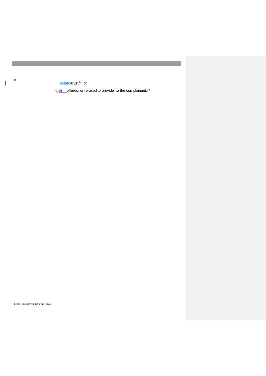estate/trust<sup>[24](#page-35-0)</sup>; or

d)e) offered, or refused to provide, to the complainant.<sup>[25](#page-35-0)</sup>

Legal Ombudsman Scheme Rules

 $\overline{\phantom{a}}$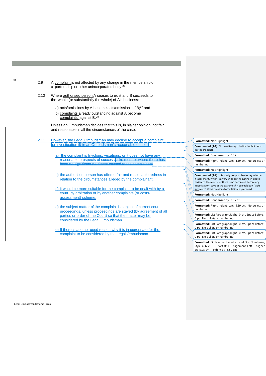- 2.9 A complaint is not affected by any change in the membership of a partnership or other unincorporated body.[26](#page-35-0)
- 2.10 Where authorised person A ceases to exist and B succeeds to the whole (or substantially the whole) of A's business:
	- a) acts/omissions by A become acts/omissions of B;<sup>[27](#page-35-0)</sup> and
	- b) complaints already outstanding against A become complaints against B.[28](#page-35-0)

Unless an Ombudsman decides that this is, in his/her opinion, not fair and reasonable in all the circumstances of the case.

- 2.11 However, the Legal Ombudsman may decline to accept a complaint for investigation if, in an Ombudsman's reasonable opinion,:
	- a) the complaint is frivolous, vexatious, or it does not have any reasonable prospects of successlacks merit or where there has been no significant detriment caused to the complainant
	- b) the authorised person has offered fair and reasonable redress in relation to the circumstances alleged by the complainant.
	- c) it would be more suitable for the complaint to be dealt with by a court, by arbitration or by another complaints (or costsassessment) scheme.
	- d) the subject matter of the complaint is subject of current court proceedings, unless proceedings are stayed (by agreement of all parties or order of the Court) so that the matter may be considered by the Legal Ombudsman.
	- e) If there is another good reason why it is inappropriate for the complaint to be considered by the Legal Ombudsman.

| Formatted: Not Highlight                                                                                                                                                                                                                                                                                          |  |  |  |  |
|-------------------------------------------------------------------------------------------------------------------------------------------------------------------------------------------------------------------------------------------------------------------------------------------------------------------|--|--|--|--|
| <b>Commented [A1]:</b> No need to say this- it is implicit. Also it<br>invites challenge.                                                                                                                                                                                                                         |  |  |  |  |
| Formatted: Condensed by 0.05 pt                                                                                                                                                                                                                                                                                   |  |  |  |  |
| Formatted: Right, Indent: Left: 4.59 cm, No bullets or<br>numbering                                                                                                                                                                                                                                               |  |  |  |  |
| Formatted: Not Highlight                                                                                                                                                                                                                                                                                          |  |  |  |  |
| <b>Commented [A2]:</b> It is surely not possible to say whether<br>it lacks merit, which is a very wide test requiring in-depth<br>review of the merits, or there is no detriment before any<br>investigation- save at the extremes? You could say "lacks<br>any merit" if the previous formulation is preferred. |  |  |  |  |
| Formatted: Not Highlight                                                                                                                                                                                                                                                                                          |  |  |  |  |
| Formatted: Condensed by 0.05 pt                                                                                                                                                                                                                                                                                   |  |  |  |  |
| Formatted: Right, Indent: Left: 5.59 cm, No bullets or<br>numbering                                                                                                                                                                                                                                               |  |  |  |  |
| Formatted: List Paragraph, Right: 0 cm, Space Before:<br>0 pt, No bullets or numbering                                                                                                                                                                                                                            |  |  |  |  |
| Formatted: List Paragraph, Right: 0 cm, Space Before:<br>0 pt, No bullets or numbering                                                                                                                                                                                                                            |  |  |  |  |
| Formatted: List Paragraph, Right: 0 cm, Space Before:<br>0 pt, No bullets or numbering                                                                                                                                                                                                                            |  |  |  |  |

**Formatted:** Outline numbered + Level: 3 + Numbering Style: a, b, c, … + Start at: 1 + Alignment: Left + Aligned at: 5.08 cm + Indent at: 5.59 cm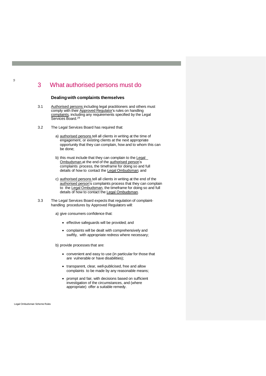# 3 What authorised persons must do

#### **Dealingwith complaints themselves**

- 3.1 Authorised persons including legal practitioners and others must comply with their Approved Regulator's rules on handling complaints, including any requirements specified by the Legal Services Board.<sup>[29](#page-35-0)</sup>
- 3.2 The Legal Services Board has required that:
	- a) authorised persons tell all clients in writing at the time of engagement, or existing clients at the next appropriate opportunity that they can complain, how and to whom this can be done;
	- b) this must include that they can complain to the Legal Ombudsman at the end of the authorised person's complaints process, the timeframe for doing so and full details of how to contact the Legal Ombudsman; and
	- c) authorised persons tell all clients in writing at the end of the authorised person's complaints process that they can complain to the Legal Ombudsman, the timeframe for doing so and full details of how to contact the Legal Ombudsman.
- 3.3 The Legal Services Board expects that regulation of complainthandling procedures by Approved Regulators will:
	- a) give consumers confidence that:
		- effective safeguards will be provided; and
		- complaints will be dealt with comprehensively and swiftly, with appropriate redress where necessary;

b) provide processes that are:

- convenient and easy to use (in particular for those that are vulnerable or have disabilities);
- transparent, clear, well-publicised, free and allow complaints to be made by any reasonable means;
- prompt and fair, with decisions based on sufficient investigation of the circumstances, and (where appropriate) offer a suitable remedy.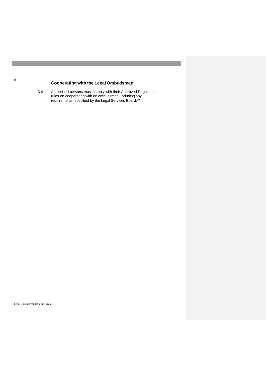# **Cooperatingwith the Legal Ombudsman**

3.4 Authorised persons must comply with their Approved Regulator's rules on cooperating with an **ombudsman**, including any requirements specified by the Legal Services Board.<sup>[30](#page-35-0)</sup>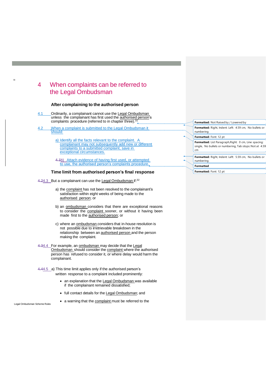# 4 When complaints can be referred to the Legal Ombudsman

## **After complaining to the authorised person**

- 4.1 Crdinarily, a complainant cannot use the Legal Ombudsman unless the complainant has first used the authorised person's complaints procedure (referred to in chapter three).<sup>[31](#page-35-0)</sup>
- 4.2 When a complaint is submitted to the Legal Ombudsman it should:
	- a) Identify all the facts relevant to the complaint. A complainant may not subsequently add new or different complaints to a submitted complaint, save in exceptional circumstances.

4.1b) Attach evidence of having first used, or attempted to use, the authorised person's complaints procedure.

# **Time limit from authorised person's final response**

- 4.24.3 But a complainant can use the Legal Ombudsman if: [32](#page-35-0)
	- a) the complaint has not been resolved to the complainant's satisfaction within eight weeks of being made to the authorised person; or
	- b) an ombudsman considers that there are exceptional reasons to consider the complaint sooner, or without it having been made first to the authorised person; or
	- c) where an ombudsman considers that in-house resolution is not possible due to irretrievable breakdown in the relationship between an authorised person and the person making the complaint.
- 4.34.4 For example, an ombudsman may decide that the Legal Ombudsman should consider the complaint where the authorised person has refused to consider it, or where delay would harm the complainant.
- 4.44.5 a) This time limit applies only if the authorised person's written response to a complaint included prominently:
	- an explanation that the Legal Ombudsman was available if the complainant remained dissatisfied;
	- full contact details for the Legal Ombudsman; and • a warning that the complaint must be referred to the

Legal Ombudsman Scheme Rules

11

numbering **Formatted:** Font: 12 pt **Formatted:** List Paragraph,Right: 0 cm, Line spacing: single, No bullets or numbering, Tab stops:Not at 4.59 cm **Formatted:** Right, Indent: Left: 5.59 cm, No bullets or numbering **Formatted Formatted:** Font: 12 pt

**Formatted:** Not Raised by / Lowered by

**Formatted:** Right, Indent: Left: 4.59 cm, No bullets or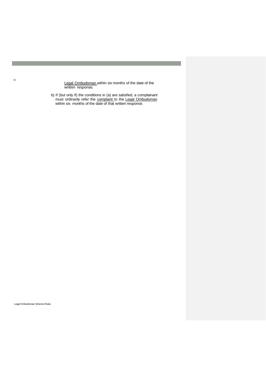Legal Ombudsman within six months of the date of the written response;

b) If (but only if) the conditions in (a) are satisfied, a complainant must ordinarily refer the complaint to the Legal Ombudsman within six months of the date of that written response.

Legal Ombudsman Scheme Rules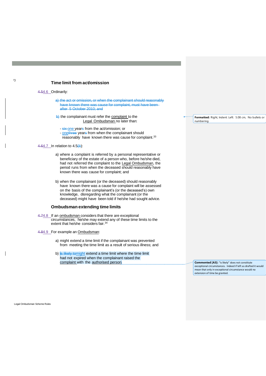## **Time limit from act/omission**

#### 4.54.6 Ordinarily:

- a) the act or omission, or when the complainant should reasonably have known there was cause for complaint, must have been after 5 October 2010; and
- $\rightarrow$  the complainant must refer the complaint to the Legal Ombudsman no later than:
	- six one years from the act/omission; or
	- onethree years from when the complainant should reasonably have known there was cause for complaint.<sup>[33](#page-35-0)</sup>

## 4.64.7 In relation to 4.5(b):

- a) where a complaint is referred by a personal representative or beneficiary of the estate of a person who, before he/she died, had not referred the complaint to the Legal Ombudsman, the period runs from when the deceased should reasonably have known there was cause for complaint; and
- b) when the complainant (or the deceased) should reasonably have known there was a cause for complaint will be assessed on the basis of the complainant's (or the deceased's) own knowledge, disregarding what the complainant (or the deceased) might have been told if he/she had sought advice.

#### **Ombudsman extending time limits**

- 4.74.8 If an ombudsman considers that there are exceptional circumstances, he/she may extend any of these time limits to the extent that he/she considers fair.[34](#page-35-0)
- 4.84.9 For example an Ombudsman:
	- a) might extend a time limit if the complainant was prevented from meeting the time limit as a result of serious illness; and
	- b) is likely tomight extend a time limit where the time limit had not expired when the complainant raised the complaint with the authorised person.

**Formatted:** Right, Indent: Left: 5.08 cm, No bullets or numbering

**Commented [A3]:** "is likely" does not constitute exceptional circumstances. Indeed if left as drafted it would mean that only in exceptional circumstance would no extension of time be granted.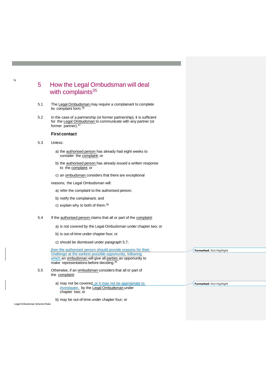# 5 How the Legal Ombudsman will deal with complaints $35$

- 5.1 The Legal Ombudsman may require a complainant to complete its complaint form.[36](#page-35-0)
- 5.2 In the case of a partnership (or former partnership), it is sufficient for the Legal Ombudsman to communicate with any partner (or former partner).<sup>[37](#page-35-0)</sup>

# **First contact**

5.3 Unless:

14

- a) the authorised person has already had eight weeks to consider the complaint; or
- b) the authorised person has already issued a written response to the complaint; or
- c) an ombudsman considers that there are exceptional
- reasons; the Legal Ombudsman will:
	- a) refer the complaint to the authorised person;
	- b) notify the complainant; and
	- c) explain why to both of them.<sup>[38](#page-35-0)</sup>
- 5.4 If the authorised person claims that all or part of the complaint:
	- a) is not covered by the Legal Ombudsman under chapter two; or
	- b) is out-of-time under chapter four; or
	- c) should be dismissed under paragraph 5.7;

|         | then the authorised person should provide reasons for their<br>challenge at the earliest possible opportunity, following<br>which an ombudsman will give all parties an opportunity to<br>make representations before deciding. <sup>39</sup> | Formatted: Not Highlight        |
|---------|-----------------------------------------------------------------------------------------------------------------------------------------------------------------------------------------------------------------------------------------------|---------------------------------|
| $5.5\,$ | Otherwise, if an ombudsman considers that all or part of<br>the complaint:                                                                                                                                                                    |                                 |
|         | a) may not be covered, or it may not be appropriate to<br>investigate, by the Legal Ombudsman under<br>chapter two: or                                                                                                                        | <b>Formatted: Not Highlight</b> |

Legal Ombudsman Scheme Rules

b) may be out-of-time under chapter four; or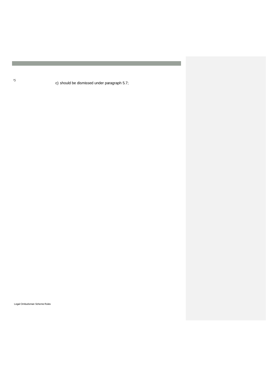c) should be dismissed under paragraph 5.7;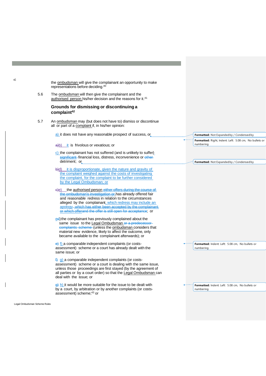the ombudsman will give the complainant an opportunity to make representations before deciding.[40](#page-35-0)

5.6 The ombudsman will then give the complainant and the authorised person his/her decision and the reasons for it.<sup>[41](#page-35-0)</sup>

# **Grounds for dismissing or discontinuing a complaint[42](#page-35-0)**

5.7 An ombudsman may (but does not have to) dismiss or discontinue all or part of a complaint if, in his/her opinion:

a) it does not have any reasonable prospect of success, or

 $a(b)$  it is frivolous or vexatious; or

- c) the complainant has not suffered (and is unlikely to suffer) significant financial loss, distress, inconvenience or other detriment; or
- b)d) it is disproportionate, given the nature and gravity of the complaint weighed against the costs of investigating the complaint, for the complaint to be further considered by the Legal Ombudsman; or
- c)e) the authorised person either offers during the course of the ombudsman's investigation or has already offered fair and reasonable redress in relation to the circumstances alleged by the complainant, which redress may include an apology which has either been accepted by the complainant or which offerand the offer is still open for acceptance; or
- ed) the complainant has previously complained about the same issue to the Legal Ombudsman or a predecess complaints scheme (unless the ombudsman considers that material new evidence, likely to affect the outcome, only became available to the complainant afterwards); or

e) f) a comparable independent complaints (or costsassessment) scheme or a court has already dealt with the same issue; or

 $\frac{f}{f}$  g) a comparable independent complaints (or costsassessment) scheme or a court is dealing with the same issue, unless those proceedings are first stayed (by the agreement of all parties or by a court order) so that the Legal Ombudsman can deal with the issue; or

 $\left(\frac{d}{dx}\right)$  h) it would be more suitable for the issue to be dealt with by a court, by arbitration or by another complaints (or costsassessment) scheme;[43](#page-35-0) or

**Formatted:** Not Expandedby / Condensed by **Formatted:** Right, Indent: Left: 5.08 cm, No bullets or numbering

**Formatted:** Not Expandedby / Condensed by

**Formatted:** Indent: Left: 5.08 cm, No bullets or numbering

**Formatted:** Indent: Left: 5.08 cm, No bullets or numbering

16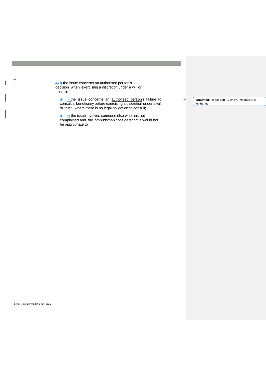h) i) the issue concerns an authorised person's decision when exercising a discretion under a will or trust; or

 $\frac{1}{2}$  i) the issue concerns an authorised person's failure to consult a beneficiary before exercising a discretion under a will or trust, where there is no legal obligation to consult;

 $\frac{1}{2}$  k) the issue involves someone else who has not complained and the ombudsman considers that it would not be appropriate to

**Formatted:** Indent: Left: 5.59 cm, No bullets or numbering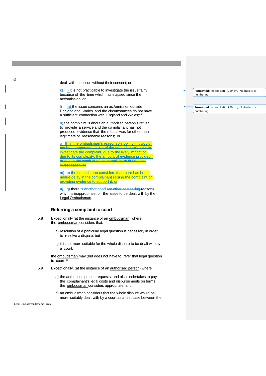deal with the issue without their consent; or

 $\overline{k}$   $\overline{k}$   $\overline{k}$   $\overline{k}$  is not practicable to investigate the issue fairly because of the time which has elapsed since the act/omission; or

 $\lfloor m \rfloor$  the issue concerns an act/omission outside England and Wales and the circumstances do not have a sufficient connection with England and Wales;<sup>[44](#page-35-0)</sup>

n) the complaint is about an authorised person's refusal to provide a service and the complainant has not produced evidence that the refusal was for other than legitimate or reasonable reasons; or

<u>o\_If, in the ombudsman's reasonable opinion, it would</u> not be a proportionate use of the ombudsman's time to investigate the complaint, due to the likely impact or due to its complexity, the amount of evidence provided, or due to the conduct of the complainant during the investigation; or

 $m$ ) p) the ombudsman considers that there has been undue delay in the complainant raising the complaint or providing evidence to support it; or

n) q) there is another good are other compelling reasons why it is inappropriate for the issue to be dealt with by the Legal Ombudsman.

## **Referring a complaint to court**

- 5.8 Exceptionally (at the instance of an ombudsman) where the ombudsman considers that:
	- a) resolution of a particular legal question is necessary in order to resolve a dispute; but
	- b) it is not more suitable for the whole dispute to be dealt with by a court;

the ombudsman may (but does not have to) refer that legal question to court.[45](#page-35-0)

- 5.9 Exceptionally, (at the instance of an authorised person) where:
	- a) the authorised person requests, and also undertakes to pay the complainant's legal costs and disbursements on terms the ombudsman considers appropriate; and
	- b) an ombudsman considers that the whole dispute would be more suitably dealt with by a court as a test case between the

Legal Ombudsman Scheme Rules

**Formatted:** Indent: Left: 5.59 cm, No bullets or numbering

**Formatted:** Indent: Left: 5.59 cm, No bullets or numbering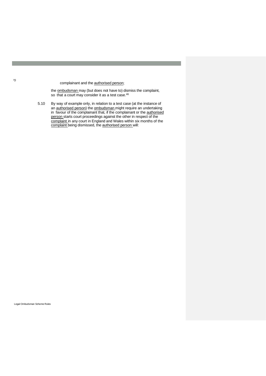complainant and the authorised person;

the **ombudsman** may (but does not have to) dismiss the complaint, so that a court may consider it as a test case.<sup>[46](#page-35-0)</sup>

5.10 By way of example only, in relation to a test case (at the instance of an authorised person) the ombudsman might require an undertaking in favour of the complainant that, if the complainant or the authorised person starts court proceedings against the other in respect of the complaint in any court in England and Wales within six months of the complaint being dismissed, the authorised person will:

Legal Ombudsman Scheme Rules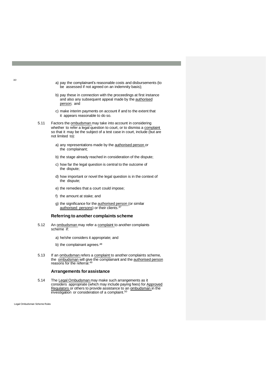- a) pay the complainant's reasonable costs and disbursements (to be assessed if not agreed on an indemnity basis);
- b) pay these in connection with the proceedings at first instance and also any subsequent appeal made by the **authorised** person; and
- c) make interim payments on account if and to the extent that it appears reasonable to do so.
- 5.11 Factors the **ombudsman** may take into account in considering whether to refer a legal question to court, or to dismiss a complaint so that it may be the subject of a test case in court, include (but are not limited to):
	- a) any representations made by the **authorised person** or the complainant;
	- b) the stage already reached in consideration of the dispute;
	- c) how far the legal question is central to the outcome of the dispute;
	- d) how important or novel the legal question is in the context of the dispute;
	- e) the remedies that a court could impose;
	- f) the amount at stake; and
	- g) the significance for the **authorised person** (or similar authorised persons) or their clients.[47](#page-35-0)

#### **Referring to another complaints scheme**

- 5.12 An ombudsman may refer a complaint to another complaints scheme if:
	- a) he/she considers it appropriate; and
	- b) the complainant agrees.<sup>[48](#page-35-0)</sup>
- 5.13 If an ombudsman refers a complaint to another complaints scheme, the ombudsman will give the complainant and the authorised person reasons for the referral.[49](#page-35-0)

#### **Arrangements for assistance**

5.14 The Legal Ombudsman may make such arrangements as it considers appropriate (which may include paying fees) for Approved Regulators or others to provide assistance to an ombudsman in the investigation or consideration of a complaint.<sup>[50](#page-35-1)</sup>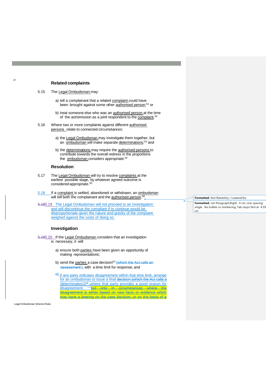## **Related complaints**

- 5.15 The Legal Ombudsman may:
	- a) tell a complainant that a related complaint could have been brought against some other **authorised person**;<sup>[51](#page-35-2)</sup> or
	- b) treat someone else who was an authorised person at the time of the act/omission as a joint respondent to the complaint.<sup>[52](#page-35-3)</sup>
- 5.16 Where two or more complaints against different authorised persons\_relate to connected circumstances:
	- a) the Legal Ombudsman may investigate them together, but an ombudsman will make separate determinations;<sup>[53](#page-35-0)</sup> and
	- b) the determinations may require the authorised persons to contribute towards the overall redress in the proportions the ombudsman considers appropriate.<sup>[54](#page-35-0)</sup>

#### **Resolution**

- 5.17 The Legal Ombudsman will try to resolve complaints at the earliest possible stage, by whatever agreed outcome is considered appropriate.[55](#page-35-0)
- 5.18 If a complaint is settled, abandoned or withdrawn, an ombudsman will tell both the complainant and the authorised person.<sup>[56](#page-35-0)</sup>
- 5.185.19 The Legal Ombudsman will not proceed to an investigation and will discontinue the compliant if to continue would be disproportionate given the nature and gravity of the complaint weighed against the costs of doing so.

# **Investigation**

- 5.195.20 If the Legal Ombudsman considers that an investigation is necessary, it will:
	- a) ensure both parties have been given an opportunity of making representations;
	- b) send the parties a case decision<sup>[57](#page-35-0)-</sup> (which the Act calls an 'assessment'), with a time limit for response; and

 $\theta$ -if any party indicates disagreement within that time limit, arrange for an ombudsman to issue a final decision (which the Act calls a 'determination')<sup>58</sup> ,where that party provides a good reason for disagreement. but only in circumstances where disagreement is either based on new facts or evidence which may have a bearing on the case decision, or on the basis of a

Legal Ombudsman Scheme Rules

#### **Formatted:** Not Raised by / Lowered by

**Formatted:** List Paragraph,Right: 0 cm, Line spacing: single, No bullets or numbering, Tab stops: Not at 4.59 cm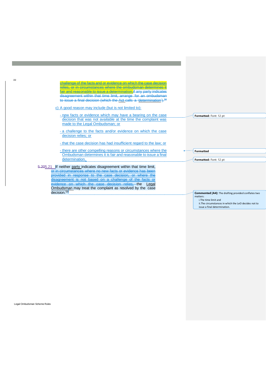| hallenge of the facts and or evidence on which the case decisio                  |                                                            |
|----------------------------------------------------------------------------------|------------------------------------------------------------|
| elies, or in circumstances where the ombudsman determines.                       |                                                            |
| air and reasonable to issue a determination.if any party indicates               |                                                            |
| disagreement within that time limit, arrange for an ombudsman                    |                                                            |
| to issue a final decision (which the Act calls a 'determination'). <sup>58</sup> |                                                            |
| c) A good reason may include (but is not limited to):                            |                                                            |
| - new facts or evidence which may have a bearing on the case                     | Formatted: Font: 12 pt                                     |
| decision that was not available at the time the complaint was                    |                                                            |
| made to the Legal Ombudsman; or                                                  |                                                            |
| - a challenge to the facts and/or evidence on which the case                     |                                                            |
| decision relies; or                                                              |                                                            |
|                                                                                  |                                                            |
| - that the case decision has had insufficient regard to the law; or              |                                                            |
| - there are other compelling reasons or circumstances where the                  |                                                            |
| Ombudsman determines it is fair and reasonable to issue a final                  | <b>Formatted</b>                                           |
| determination.                                                                   | Formatted: Font: 12 pt                                     |
|                                                                                  |                                                            |
| 5.205.21 If neither party indicates disagreement within that time limit,         |                                                            |
| or in circumstances where no new facts or evidence has been                      |                                                            |
| provided in response to the case decision, or where the                          |                                                            |
| disagreement is not based on a challenge of the facts or                         |                                                            |
| evidence on which the case decision relies, the Legal                            |                                                            |
| Ombudsman may treat the complaint as resolved by the case                        |                                                            |
| decision. <sup>59</sup>                                                          | <b>Commented [A4]:</b> The drafting provided conflates two |

**Commented [A4]:** The drafting provided conflates two matters:

i.The time limit and ii.The circumstances in which the LeO decides not to issue a final determination.

Legal Ombudsman Scheme Rules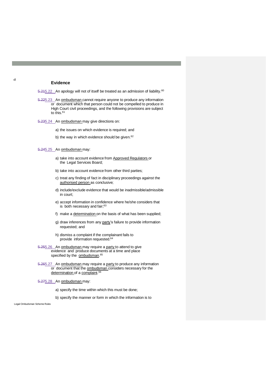## **Evidence**

5.215.22 An apology will not of itself be treated as an admission of liability.<sup>[60](#page-35-0)</sup>

5.225.23 An ombudsman cannot require anyone to produce any information or document which that person could not be compelled to produce in High Court civil proceedings, and the following provisions are subject to this.<sup>[61](#page-35-0)</sup>

5.235.24 An ombudsman may give directions on:

a) the issues on which evidence is required; and

b) the way in which evidence should be given.<sup>[62](#page-35-0)</sup>

5.245.25 An ombudsman may:

- a) take into account evidence from Approved Regulators or the Legal Services Board;
- b) take into account evidence from other third parties;
- c) treat any finding of fact in disciplinary proceedings against the authorised person as conclusive;
- d) include/exclude evidence that would be inadmissible/admissible in court;
- e) accept information in confidence where he/she considers that is both necessary and fair;<sup>[63](#page-35-0)</sup>
- f) make a determination on the basis of what has been supplied;
- g) draw inferences from any party's failure to provide information requested; and
- h) dismiss a complaint if the complainant fails to provide information requested.<sup>[64](#page-35-0)</sup>
- 5.255.26 An ombudsman may require a party to attend to give evidence and produce documents at a time and place specified by the **ombudsman.**<sup>[65](#page-35-0)</sup>
- 5.265.27 An ombudsman may require a party to produce any information or document that the ombudsman considers necessary for the determination of a complaint.<sup>[66](#page-35-0)</sup>
- 5.275.28 An ombudsman may:
	- a) specify the time within which this must be done;

b) specify the manner or form in which the information is to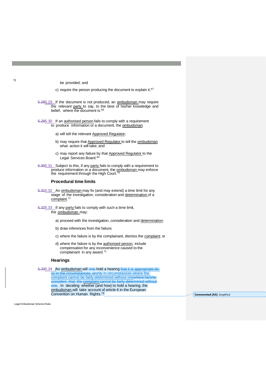be provided; and

c) require the person producing the document to explain it.<sup>[67](#page-35-0)</sup>

5.285.29 If the document is not produced, an ombudsman may require the relevant party to say, to the best of his/her knowledge and belief, where the document is.<sup>[68](#page-35-0)</sup>

5.295.30 If an authorised person fails to comply with a requirement to produce information or a document, the ombudsman:

- a) will tell the relevant Approved Regulator;
- b) may require that Approved Regulator to tell the ombudsman what action it will take; and
- c) may report any failure by that Approved Regulator to the Legal Services Board.<sup>[69](#page-35-0)</sup>

5.305.31 Subject to this, if any party fails to comply with a requirement to produce information or a document, the ombudsman may enforce the requirement through the High Court.<sup>[70](#page-35-0)</sup>

## **Procedural time limits**

- 5.315.32 An ombudsman may fix (and may extend) a time limit for any stage of the investigation, consideration and determination of a complaint.<sup>[71](#page-35-0)</sup>
- 5.325.33 If any party fails to comply with such a time limit, the ombudsman may:
	- a) proceed with the investigation, consideration and determination;
	- b) draw inferences from the failure;
	- c) where the failure is by the complainant, dismiss the complaint; or
	- d) where the failure is by the authorised person, include compensation for any inconvenience caused to the complainant in any award.[72](#page-35-0)

#### **Hearings**

5.335.34 An ombudsman will only hold a hearing that it is appropriate do so in the circumstances, oronly in circumstances where the complaint cannot be fairly determined without onewhere he/she considers that the complaint cannot be fairly determined without one. In deciding whether (and how) to hold a hearing, the ombudsman will take account of article 6 in the European

Legal Ombudsman Scheme Rules

Convention on Human Rights.<sup>[73](#page-35-0)</sup> **Convention on Human Rights.**<sup>73</sup> **Commented [A5]:** Simplified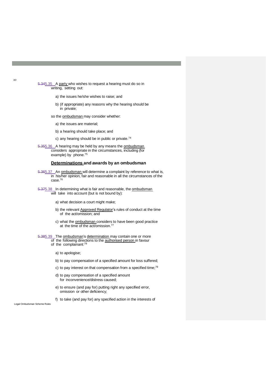5.345.35 A party who wishes to request a hearing must do so in writing, setting out:

- a) the issues he/she wishes to raise; and
- b) (if appropriate) any reasons why the hearing should be in private;
- so the ombudsman may consider whether:
	- a) the issues are material;
	- b) a hearing should take place; and
	- c) any hearing should be in public or private.<sup>[74](#page-35-0)</sup>
- 5.355.36 A hearing may be held by any means the ombudsman considers appropriate in the circumstances, including (for example) by phone.<sup>[75](#page-35-0)</sup>

## **Determinations and awards by an ombudsman**

- 5.365.37 An ombudsman will determine a complaint by reference to what is, in his/her opinion, fair and reasonable in all the circumstances of the case.[76](#page-35-0)
- 5.375.38 In determining what is fair and reasonable, the ombudsman will take into account (but is not bound by):
	- a) what decision a court might make;
	- b) the relevant Approved Regulator's rules of conduct at the time of the act/omission; and
	- c) what the ombudsman considers to have been good practice at the time of the act/omission.<sup>[77](#page-35-0)</sup>

5.385.39 The ombudsman's determination may contain one or more of the following directions to the authorised person in favour

of the complainant:<sup>[78](#page-35-0)</sup>

a) to apologise;

- b) to pay compensation of a specified amount for loss suffered;
- c) to pay interest on that compensation from a specified time;<sup>[79](#page-35-0)</sup>
- d) to pay compensation of a specified amount for inconvenience/distress caused;
- e) to ensure (and pay for) putting right any specified error, omission or other deficiency;

f) to take (and pay for) any specified action in the interests of

Legal Ombudsman Scheme Rules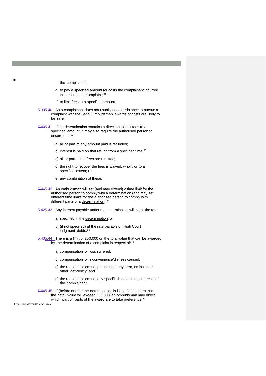- the complainant;
- g) to pay a specified amount for costs the complainant incurred in pursuing the complaint;<sup>[8081](#page-35-0)</sup>
- h) to limit fees to a specified amount.
- 5.395.40 As a complainant does not usually need assistance to pursue a complaint with the Legal Ombudsman, awards of costs are likely to be rare.
- 5.405.41 If the determination contains a direction to limit fees to a specified amount, it may also require the authorised person to ensure that:<sup>[82](#page-35-0)</sup>
	- a) all or part of any amount paid is refunded;
	- b) interest is paid on that refund from a specified time;<sup>[83](#page-35-0)</sup>
	- c) all or part of the fees are remitted;
	- d) the right to recover the fees is waived, wholly or to a specified extent; or
	- e) any combination of these.
- 5.415.42 An ombudsman will set (and may extend) a time limit for the authorised person to comply with a determination (and may set different time limits for the authorised person to comply with different parts of a determination).<sup>[84](#page-35-0)</sup>
- 5.425.43 Any interest payable under the determination will be at the rate:
	- a) specified in the determination; or
	- b) (if not specified) at the rate payable on High Court judgment debts.<sup>[85](#page-35-0)</sup>
- 5.435.44 There is a limit of £50,000 on the total value that can be awarded by the determination of a complaint in respect of:[86](#page-35-0)
	- a) compensation for loss suffered;
	- b) compensation for inconvenience/distress caused;
	- c) the reasonable cost of putting right any error, omission or other deficiency; and
	- d) the reasonable cost of any specified action in the interests of the complainant.
- 5.445.45 If (before or after the determination is issued) it appears that the total value will exceed £50,000, an ombudsman may direct which part or parts of the award are to take preference.<sup>[87](#page-35-0)</sup>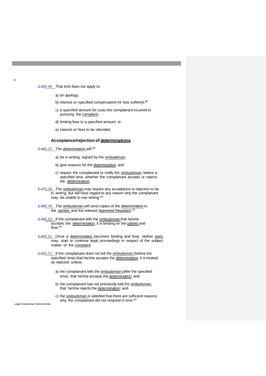#### 5.455.46 That limit does not apply to:

- a) an apology;
- b) interest on specified compensation for loss suffered;<sup>[88](#page-35-0)</sup>
- c) a specified amount for costs the complainant incurred in pursuing the complaint;
- d) limiting fees to a specified amount; or
- e) interest on fees to be refunded.

#### **Acceptance/rejection of determinations**

5.465.47 The determination will:[89](#page-35-0)

- a) be in writing, signed by the ombudsman;
- b) give reasons for the determination; and
- c) require the complainant to notify the ombudsman, before a specified time, whether the complainant accepts or rejects the determination.
- 5.475.48 The ombudsman may require any acceptance or rejection to be in writing, but will have regard to any reason why the complainant may be unable to use writing.<sup>[90](#page-35-0)</sup>
- 5.485.49 The ombudsman will send copies of the determination to the parties and the relevant Approved Regulator.<sup>[91](#page-35-0)</sup>
- 5.495.50 If the complainant tells the ombudsman that he/she accepts the determination, it is binding on the parties and  $final.<sup>92</sup>$  $final.<sup>92</sup>$  $final.<sup>92</sup>$
- 5.505.51 Once a determination becomes binding and final, neither party may start or continue legal proceedings in respect of the subject matter of the complaint.
- 5.515.52 If the complainant does not tell the **ombudsman** (before the specified time) that he/she accepts the determination, it is treated as rejected unless:
	- a) the complainant tells the **ombudsman** (after the specified time) that he/she accepts the determination; and
	- b) the complainant has not previously told the **ombudsman** that he/she rejects the determination; and
	- c) the ombudsman is satisfied that there are sufficient reasons why the complainant did not respond in time.<sup>[93](#page-35-0)</sup>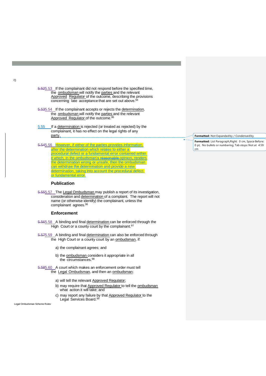5.525.53 If the complainant did not respond before the specified time, the ombudsman will notify the parties and the relevant Approved Regulator of the outcome, describing the provisions concerning late acceptance that are set out above.<sup>[94](#page-35-0)</sup>

5.535.54 If the complainant accepts or rejects the determination, the ombudsman will notify the parties and the relevant Approved Regulator of the outcome.<sup>[95](#page-35-0)</sup>

- 5.55 If a determination is rejected (or treated as rejected) by the complainant, it has no effect on the legal rights of any party.
- 5.545.56 However, if either of the parties provides information after the determination which relates to either a procedural defect or a fundamental error contained within it which, in the ombudsman's reasonable opinion, renders the determination wrong or unsafe, then the ombudsman can withdraw the determination and provide a new determination, taking into account the procedural defect or fundamental error.

# **Publication**

5.555.57 The Legal Ombudsman may publish a report of its investigation, consideration and determination of a complaint. The report will not name (or otherwise identify) the complainant, unless the complainant agrees. [96](#page-35-0)

# **Enforcement**

5.565.58 A binding and final determination can be enforced through the High Court or a county court by the complainant.<sup>[97](#page-35-0)</sup>

5.575.59 A binding and final determination can also be enforced through the High Court or a county court by an ombudsman, if:

a) the complainant agrees; and

b) the ombudsman considers it appropriate in all the circumstances.[98](#page-35-0)

5.585.60 A court which makes an enforcement order must tell the Legal Ombudsman, and then an ombudsman:

- a) will tell the relevant Approved Regulator;
- b) may require that Approved Regulator to tell the ombudsman what action it will take; and
- c) may report any failure by that Approved Regulator to the Legal Services Board.<sup>[99](#page-35-0)</sup>

Legal Ombudsman Scheme Rules

#### **Formatted:** Not Expandedby / Condensed by

**Formatted:** List Paragraph,Right: 0 cm, Space Before: 0 pt, No bullets or numbering, Tab stops:Not at 4.59 cm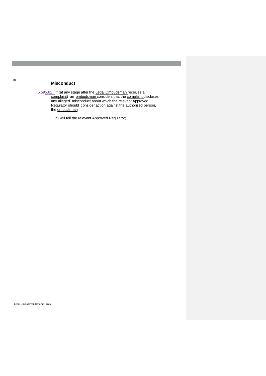# **Misconduct**

5.595.61 If (at any stage after the Legal Ombudsman receives a complaint) an ombudsman considers that the complaint discloses any alleged misconduct about which the relevant Approved Regulator should consider action against the authorised person, the ombudsman:

a) will tell the relevant Approved Regulator;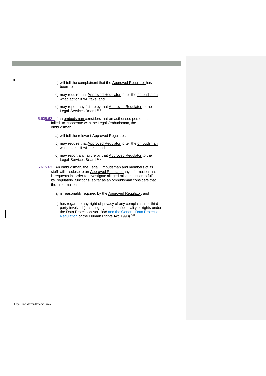- b) will tell the complainant that the Approved Regulator has been told;
- c) may require that Approved Regulator to tell the ombudsman what action it will take; and
- d) may report any failure by that Approved Regulator to the Legal Services Board.<sup>[100](#page-35-0)</sup>

5.605.62 If an ombudsman considers that an authorised person has failed to cooperate with the Legal Ombudsman, the ombudsman:

- a) will tell the relevant Approved Regulator;
- b) may require that Approved Regulator to tell the ombudsman what action it will take; and
- c) may report any failure by that Approved Regulator to the Legal Services Board.<sup>[101](#page-35-0)</sup>

5.615.63 An ombudsman, the Legal Ombudsman and members of its staff will disclose to an **Approved Regulator** any information that it requests in order to investigate alleged misconduct or to fulfil its regulatory functions, so far as an ombudsman considers that the information:

- a) is reasonably required by the Approved Regulator; and
- b) has regard to any right of privacy of any complainant or third party involved (including rights of confidentiality or rights under the Data Protection Act 1998 and the General Data Protection Regulation or the Human Rights Act 1998).<sup>[102](#page-35-0)</sup>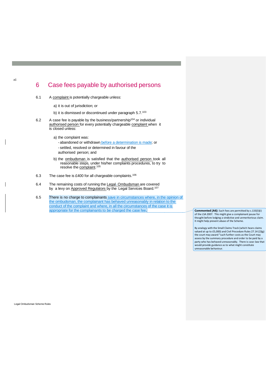# <span id="page-32-0"></span>6 Case fees payable by authorised persons

- <span id="page-32-1"></span>6.1 A complaint is potentially chargeable unless:
	- a) it is out of jurisdiction; or
	- b) it is dismissed or discontinued under paragraph 5.7.[103](#page-35-0)
- 6.2 A case fee is payable by the business/partnership<sup>[104](#page-35-0)</sup> or individual authorised person for every potentially chargeable complaint when it is closed unless:
	- a) the complaint was:
		- abandoned or withdrawn before a determination is made; or
		- settled, resolved or determined in favour of the authorised person; and
	- b) the ombudsman is satisfied that the authorised person took all reasonable steps, under his/her complaints procedures, to try to resolve the complaint.<sup>[105](#page-35-1)</sup>
- 6.3 The case fee is £400 for all chargeable complaints.[106](#page-35-2)
- 6.4 The remaining costs of running the Legal-Ombudsman are covered by a levy on Approved Regulators by the Legal Services Board.<sup>[107](#page-35-3)</sup>
- 6.5 There is no charge to complainants save in circumstances where, in the opinion of the ombudsman, the complainant has behaved unreasonably in relation to the conduct of the complaint and where, in all the circumstances of the case it is appropriate for the complainants to be charged the case fee. **Commented [A6]:** Such fees are permitted by s.133(3)(i)

of the LSA 2007. This might give a complainant pause for thought before lodging a vindictive and unmeritorious claim. It might help prevent abuse of the Scheme.

By analogy with the Small Claims Track (which hears claims valued at up to £5,000) and Civil Procedure Rules 27.14 (2)(g) the court may award "such further costs as the Court may assess by the summary procedure and order to be paid by a party who has behaved unreasonably. There is case-law that would provide guidance as to what might constitute unreasonable behaviour.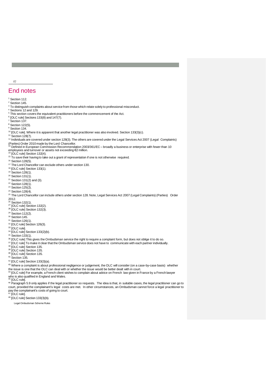# End notes

<sup>1</sup> Section 112.

27

<sup>2</sup> Section 145.

<span id="page-33-0"></span><sup>3</sup> To distinguish complaints about service from those which relate solely to professional misconduct.

<span id="page-33-1"></span><sup>4</sup> Sections 12 and 129.

<span id="page-33-2"></span><sup>5</sup> This section covers the equivalent practitioners before the commencement of the Act.

<span id="page-33-4"></span><span id="page-33-3"></span> $^6$  [OLC rule] Sections 133(8) and 147(7).<br><sup>7</sup> Section 137.

<span id="page-33-5"></span> $8$  Section 122(5).

<sup>9</sup> Section 134.

<sup>10</sup> [OLC rule]. Where it is apparent that another legal practitioner was also involved. Section 133(3)(c).

 $11$  Section 128(7).

<sup>12</sup> Individuals are covered under section 128(3). The others are covered under the Legal Services Act 2007 (Legal Complaints)

(Parties) Order 2010 made by the Lord Chancellor.<br><sup>13</sup> Defined in European Commission Recommendation 2003/361/EC – broadly a business or enterprise with fewer than 10

employees and turnover or assets not exceeding €2 million.<br><sup>14</sup> [OLC rule] Section 132(4).

 $<sup>15</sup>$  To save their having to take out a grant of representation if one is not otherwise required.</sup>

 $16$  Section 128(5).

<sup>17</sup> The Lord Chancellor can exclude others under section 130.

<sup>18</sup> [OLC rule] Section 133(1).

<sup>19</sup> Section 128(1).

 $20$  Section 131(1).

- $21$  Section 131(2) and (3).
- <sup>22</sup> Section 128(1).

<sup>23</sup> Section 125(2).

<sup>24</sup> Section 128(4).

<sup>25</sup> The Lord Chancellor can include others under section 128. Note, Legal Services Act 2007 (Legal Complaints) (Parties) Order

- 2012.<br><sup>26</sup> Section 132(1).<br><sup>27</sup> [OLC rule] Section 132(2).
- $28$  [OLC rule] Section 132(3).
- $29$  Section 112(2).
- 
- <sup>30</sup> Section 145.  $31$  Section 126(1).
- <sup>32</sup> [OLC rule] Section 126(3).

<sup>33</sup> [OLC rule].

<sup>34</sup> [OLC rule] Section 133(2)(b).

<sup>35</sup> Section 133(1).

- <sup>36</sup> [OLC rule] This gives the Ombudsman service the right to require a complaint form, but does not oblige it to do so.
- <sup>37</sup> [OLC rule] To make it clear that the Ombudsman service does not have to communicate with each partner individually.
- <sup>38</sup> [OLC rule] Section 135.
- <sup>39</sup> [OLC rule] Section 135.

<sup>40</sup> [OLC rule] Section 135.

 $41$  Section 135.

<sup>42</sup> [OLC rule] Section 133(3)(a).

43 Where a complaint is about professional negligence or judgement, the OLC will consider (on a case-by-case basis) whether

the issue is one that the OLC can deal with or whether the issue would be better dealt with in court.<br><sup>44</sup> [OLC rule] For example, a French client wishes to complain about advice on French law given in France by a French who is also qualified in England and Wales.<br><sup>45</sup> [OLC rule].

46 Paragraph 5.9 only applies if the legal practitioner so requests. The idea is that, in suitable cases, the legal practitioner can go to court, provided the complainant's legal costs are met. In other circumstances, an Ombudsman cannot force a legal practitioner to pay the complainant's costs of going to court.<br><sup>47</sup> [OLC rule].

<sup>48</sup> [OLC rule] Section 133(3)(b).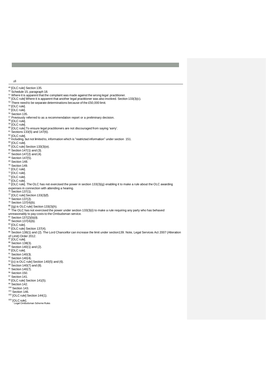<sup>49</sup> [OLC rule] Section 135.

<sup>50</sup> Schedule 15, paragraph 18.

<sup>51</sup> Where it is apparent that the complaint was made against the wrong legal practitioner.

- <sup>52</sup> [OLC rule] Where it is apparent that another legal practitioner was also involved. Section 133(3)(c). <sup>53</sup> There need to be separate determinations because of the £50,000 limit.
- 

<sup>54</sup> [OLC rule].

<sup>55</sup> [OLC rule].

<sup>56</sup> Section 135.

<sup>57</sup> Previously referred to as a recommendation report or a preliminary decision.

<sup>58</sup> [OLC rule].<br><sup>59</sup> [OLC rule].

<span id="page-34-0"></span>

- <sup>60</sup> [OLC rule] To ensure legal practitioners are not discouraged from saying 'sorry'.<br><sup>61</sup> Sections 133(5) and 147(6).
- <span id="page-34-1"></span>

<span id="page-34-2"></span> $62$  [OLC rule].

<sup>63</sup> Including, but not limited to, information which is "restricted information" under section 151.

<sup>64</sup> [OLC rule].

- $65$  [OLC rule] Section 133(3)(e).
- $66$  Section 147(1) and (3).
- $67$  Section 147(2) and (4).
- $68$  Section 147(5).

<sup>69</sup> Section 148.

<sup>70</sup> Section 149.

 $71$  [OLC rule].

<sup>72</sup> [OLC rule].

<sup>73</sup> [OLC rule].

<sup>74</sup> [OLC rule].

 $75$  [OLC rule]. The OLC has not exercised the power in section 133(3)(g) enabling it to make a rule about the OLC awarding expenses in connection with attending a hearing.<br><sup>76</sup> Section 137(1).

<sup>77</sup> [OLC rule] Section 133(3)(f).

<sup>78</sup> Section 137(2).

 $79$  Section 137(4)(b).

<sup>80</sup> [(g) is OLC rule] Section 133(3)(h).

<sup>81</sup> The OLC has not exercised the power under section 133(3)(i) to make a rule requiring any party who has behaved

unreasonably to pay costs to the Ombudsman service.<br><sup>82</sup> Section 137(2)(b)(ii).<br><sup>83</sup> Section 137(4)(b).

 $84$  [OLC rule].

<sup>85</sup> [OLC rule] Section 137(4).

86 Section 138(1) and (2). The Lord Chancellor can increase the limit under section139. Note, Legal Services Act 2007 (Alteration

of Limit) Order 2012.<br><sup>87</sup> [OLC rule].

- 88 Section 138(3).
- $89$  Section 140(1) and (2).
- <sup>90</sup> [OLC rule].
- $91$  Section 140(3).

 $92$  Section 140(4).

- $93$  [(c) is OLC rule] Section 140(5) and (6).
- $94$  Section 140(7) and (8). <sup>95</sup> Section 140(7).
- <sup>96</sup> Section 150.
- 97 Section 141.
- 
- 98 [OLC rule] Section 141(5).

99 Section 142.

<sup>100</sup> Section 143.

- $101$  Section 146.
- <sup>102</sup> [OLC rule] Section 144(1).

<sup>103</sup> [OLC rule].<br>Legal Ombudsman Scheme Rules

<sup>28</sup>